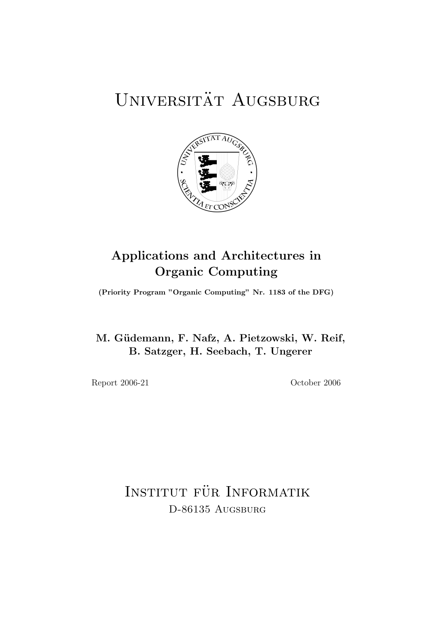# UNIVERSITÄT AUGSBURG



# Applications and Architectures in Organic Computing

(Priority Program "Organic Computing" Nr. 1183 of the DFG)

M. Güdemann, F. Nafz, A. Pietzowski, W. Reif, B. Satzger, H. Seebach, T. Ungerer

Report 2006-21 October 2006

INSTITUT FÜR INFORMATIK D-86135 AUGSBURG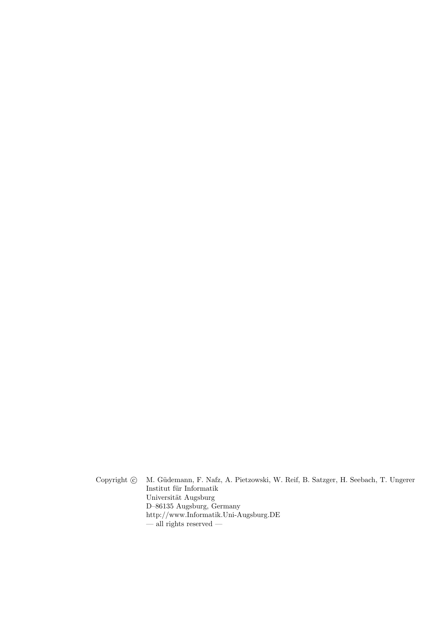Copyright  $\odot$  M. Güdemann, F. Nafz, A. Pietzowski, W. Reif, B. Satzger, H. Seebach, T. Ungerer  $\;$ Institut für Informatik Universität Augsburg D–86135 Augsburg, Germany http://www.Informatik.Uni-Augsburg.DE  $-$ all rights reserved  $-$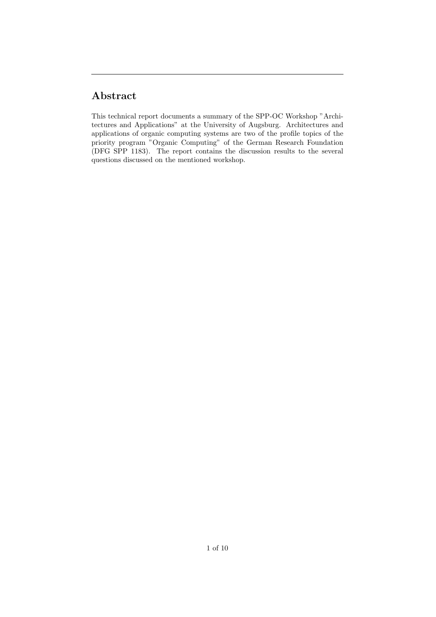# Abstract

This technical report documents a summary of the SPP-OC Workshop "Architectures and Applications" at the University of Augsburg. Architectures and applications of organic computing systems are two of the profile topics of the priority program "Organic Computing" of the German Research Foundation (DFG SPP 1183). The report contains the discussion results to the several questions discussed on the mentioned workshop.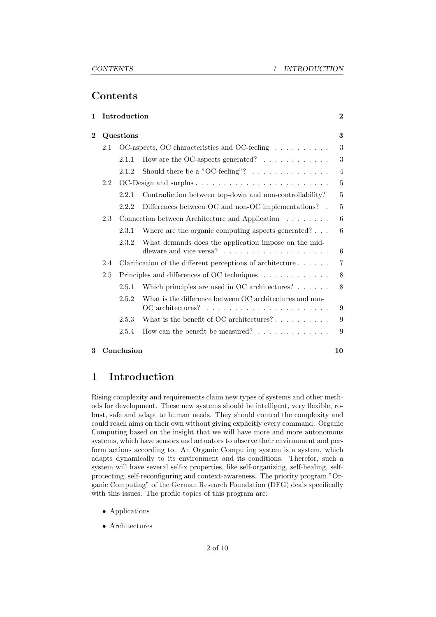# Contents

| Introduction<br>1 |                                                        |                                                                            | $\bf{2}$                                                        |                |
|-------------------|--------------------------------------------------------|----------------------------------------------------------------------------|-----------------------------------------------------------------|----------------|
| $\overline{2}$    | Questions                                              |                                                                            |                                                                 | 3              |
|                   | 2.1                                                    | OC-aspects, OC characteristics and OC-feeling                              |                                                                 | 3              |
|                   |                                                        | 2.1.1                                                                      | How are the OC-aspects generated? $\ldots \ldots \ldots \ldots$ | 3              |
|                   |                                                        | 2.1.2                                                                      | Should there be a "OC-feeling"? $\dots \dots \dots \dots$       | $\overline{4}$ |
|                   | 2.2                                                    |                                                                            |                                                                 | 5              |
|                   |                                                        | 2.2.1                                                                      | Contradiction between top-down and non-controllability?         | 5              |
|                   |                                                        | 2.2.2                                                                      | Differences between OC and non-OC implementations?              | 5              |
|                   | Connection between Architecture and Application<br>2.3 |                                                                            |                                                                 | 6              |
|                   |                                                        | 2.3.1                                                                      | Where are the organic computing aspects generated? $\ldots$     | 6              |
|                   |                                                        | 2.3.2                                                                      | What demands does the application impose on the mid-            | 6              |
|                   | 2.4                                                    | Clarification of the different perceptions of architecture $\ldots \ldots$ |                                                                 | 7              |
|                   | 2.5                                                    | Principles and differences of OC techniques                                |                                                                 | 8              |
|                   |                                                        | 2.5.1                                                                      | Which principles are used in OC architectures? $\ldots$         | 8              |
|                   |                                                        | 2.5.2                                                                      | What is the difference between OC architectures and non-        | 9              |
|                   |                                                        | 2.5.3                                                                      | What is the benefit of OC architectures? $\dots \dots \dots$    | 9              |
|                   |                                                        | 2.5.4                                                                      | How can the benefit be measured? $\ldots \ldots \ldots \ldots$  | 9              |

## 3 Conclusion 10

# 1 Introduction

Rising complexity and requirements claim new types of systems and other methods for development. These new systems should be intelligent, very flexible, robust, safe and adapt to human needs. They should control the complexity and could reach aims on their own without giving explicitly every command. Organic Computing based on the insight that we will have more and more autonomous systems, which have sensors and actuators to observe their environment and perform actions according to. An Organic Computing system is a system, which adapts dynamically to its environment and its conditions. Therefor, such a system will have several self-x properties, like self-organizing, self-healing, selfprotecting, self-reconfiguring and context-awareness. The priority program "Organic Computing" of the German Research Foundation (DFG) deals specifically with this issues. The profile topics of this program are:

- Applications
- Architectures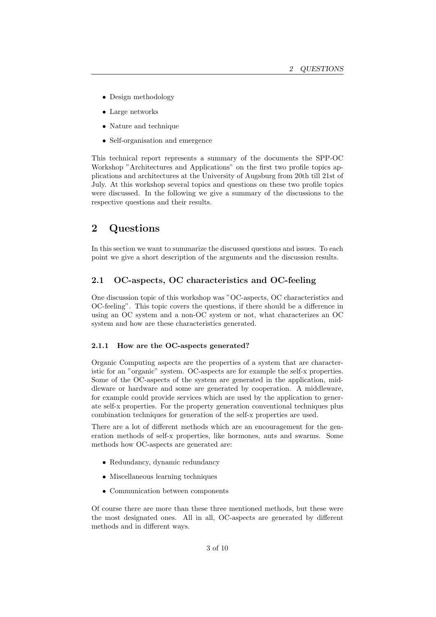- Design methodology
- Large networks
- Nature and technique
- Self-organisation and emergence

This technical report represents a summary of the documents the SPP-OC Workshop "Architectures and Applications" on the first two profile topics applications and architectures at the University of Augsburg from 20th till 21st of July. At this workshop several topics and questions on these two profile topics were discussed. In the following we give a summary of the discussions to the respective questions and their results.

# 2 Questions

In this section we want to summarize the discussed questions and issues. To each point we give a short description of the arguments and the discussion results.

### 2.1 OC-aspects, OC characteristics and OC-feeling

One discussion topic of this workshop was "OC-aspects, OC characteristics and OC-feeling". This topic covers the questions, if there should be a difference in using an OC system and a non-OC system or not, what characterizes an OC system and how are these characteristics generated.

#### 2.1.1 How are the OC-aspects generated?

Organic Computing aspects are the properties of a system that are characteristic for an "organic" system. OC-aspects are for example the self-x properties. Some of the OC-aspects of the system are generated in the application, middleware or hardware and some are generated by cooperation. A middleware, for example could provide services which are used by the application to generate self-x properties. For the property generation conventional techniques plus combination techniques for generation of the self-x properties are used.

There are a lot of different methods which are an encouragement for the generation methods of self-x properties, like hormones, ants and swarms. Some methods how OC-aspects are generated are:

- Redundancy, dynamic redundancy
- Miscellaneous learning techniques
- Communication between components

Of course there are more than these three mentioned methods, but these were the most designated ones. All in all, OC-aspects are generated by different methods and in different ways.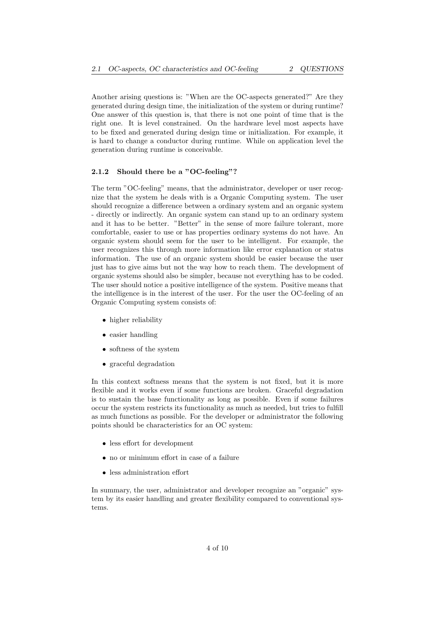Another arising questions is: "When are the OC-aspects generated?" Are they generated during design time, the initialization of the system or during runtime? One answer of this question is, that there is not one point of time that is the right one. It is level constrained. On the hardware level most aspects have to be fixed and generated during design time or initialization. For example, it is hard to change a conductor during runtime. While on application level the generation during runtime is conceivable.

#### 2.1.2 Should there be a "OC-feeling"?

The term "OC-feeling" means, that the administrator, developer or user recognize that the system he deals with is a Organic Computing system. The user should recognize a difference between a ordinary system and an organic system - directly or indirectly. An organic system can stand up to an ordinary system and it has to be better. "Better" in the sense of more failure tolerant, more comfortable, easier to use or has properties ordinary systems do not have. An organic system should seem for the user to be intelligent. For example, the user recognizes this through more information like error explanation or status information. The use of an organic system should be easier because the user just has to give aims but not the way how to reach them. The development of organic systems should also be simpler, because not everything has to be coded. The user should notice a positive intelligence of the system. Positive means that the intelligence is in the interest of the user. For the user the OC-feeling of an Organic Computing system consists of:

- higher reliability
- easier handling
- softness of the system
- graceful degradation

In this context softness means that the system is not fixed, but it is more flexible and it works even if some functions are broken. Graceful degradation is to sustain the base functionality as long as possible. Even if some failures occur the system restricts its functionality as much as needed, but tries to fulfill as much functions as possible. For the developer or administrator the following points should be characteristics for an OC system:

- less effort for development
- no or minimum effort in case of a failure
- less administration effort

In summary, the user, administrator and developer recognize an "organic" system by its easier handling and greater flexibility compared to conventional systems.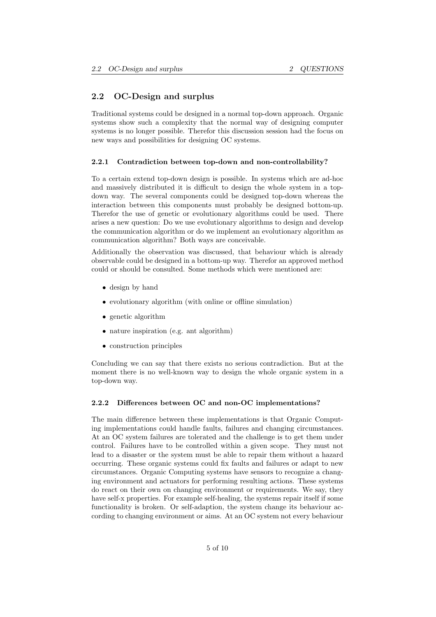### 2.2 OC-Design and surplus

Traditional systems could be designed in a normal top-down approach. Organic systems show such a complexity that the normal way of designing computer systems is no longer possible. Therefor this discussion session had the focus on new ways and possibilities for designing OC systems.

#### 2.2.1 Contradiction between top-down and non-controllability?

To a certain extend top-down design is possible. In systems which are ad-hoc and massively distributed it is difficult to design the whole system in a topdown way. The several components could be designed top-down whereas the interaction between this components must probably be designed bottom-up. Therefor the use of genetic or evolutionary algorithms could be used. There arises a new question: Do we use evolutionary algorithms to design and develop the communication algorithm or do we implement an evolutionary algorithm as communication algorithm? Both ways are conceivable.

Additionally the observation was discussed, that behaviour which is already observable could be designed in a bottom-up way. Therefor an approved method could or should be consulted. Some methods which were mentioned are:

- design by hand
- evolutionary algorithm (with online or offline simulation)
- genetic algorithm
- nature inspiration (e.g. ant algorithm)
- construction principles

Concluding we can say that there exists no serious contradiction. But at the moment there is no well-known way to design the whole organic system in a top-down way.

#### 2.2.2 Differences between OC and non-OC implementations?

The main difference between these implementations is that Organic Computing implementations could handle faults, failures and changing circumstances. At an OC system failures are tolerated and the challenge is to get them under control. Failures have to be controlled within a given scope. They must not lead to a disaster or the system must be able to repair them without a hazard occurring. These organic systems could fix faults and failures or adapt to new circumstances. Organic Computing systems have sensors to recognize a changing environment and actuators for performing resulting actions. These systems do react on their own on changing environment or requirements. We say, they have self-x properties. For example self-healing, the systems repair itself if some functionality is broken. Or self-adaption, the system change its behaviour according to changing environment or aims. At an OC system not every behaviour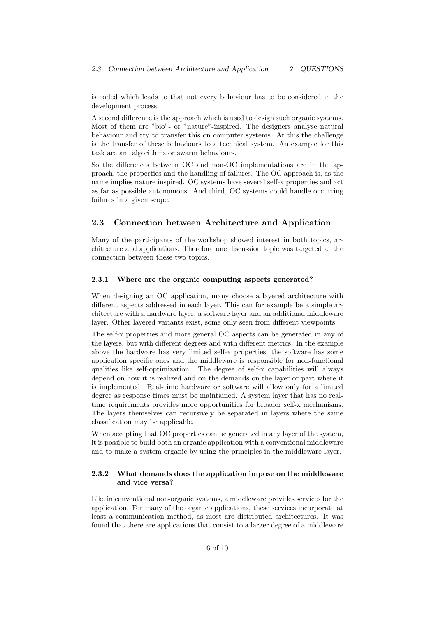is coded which leads to that not every behaviour has to be considered in the development process.

A second difference is the approach which is used to design such organic systems. Most of them are "bio"- or "nature"-inspired. The designers analyse natural behaviour and try to transfer this on computer systems. At this the challenge is the transfer of these behaviours to a technical system. An example for this task are ant algorithms or swarm behaviours.

So the differences between OC and non-OC implementations are in the approach, the properties and the handling of failures. The OC approach is, as the name implies nature inspired. OC systems have several self-x properties and act as far as possible autonomous. And third, OC systems could handle occurring failures in a given scope.

### 2.3 Connection between Architecture and Application

Many of the participants of the workshop showed interest in both topics, architecture and applications. Therefore one discussion topic was targeted at the connection between these two topics.

#### 2.3.1 Where are the organic computing aspects generated?

When designing an OC application, many choose a layered architecture with different aspects addressed in each layer. This can for example be a simple architecture with a hardware layer, a software layer and an additional middleware layer. Other layered variants exist, some only seen from different viewpoints.

The self-x properties and more general OC aspects can be generated in any of the layers, but with different degrees and with different metrics. In the example above the hardware has very limited self-x properties, the software has some application specific ones and the middleware is responsible for non-functional qualities like self-optimization. The degree of self-x capabilities will always depend on how it is realized and on the demands on the layer or part where it is implemented. Real-time hardware or software will allow only for a limited degree as response times must be maintained. A system layer that has no realtime requirements provides more opportunities for broader self-x mechanisms. The layers themselves can recursively be separated in layers where the same classification may be applicable.

When accepting that OC properties can be generated in any layer of the system, it is possible to build both an organic application with a conventional middleware and to make a system organic by using the principles in the middleware layer.

#### 2.3.2 What demands does the application impose on the middleware and vice versa?

Like in conventional non-organic systems, a middleware provides services for the application. For many of the organic applications, these services incorporate at least a communication method, as most are distributed architectures. It was found that there are applications that consist to a larger degree of a middleware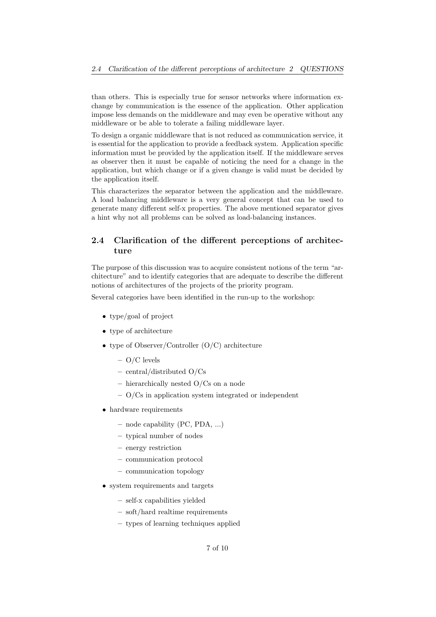than others. This is especially true for sensor networks where information exchange by communication is the essence of the application. Other application impose less demands on the middleware and may even be operative without any middleware or be able to tolerate a failing middleware layer.

To design a organic middleware that is not reduced as communication service, it is essential for the application to provide a feedback system. Application specific information must be provided by the application itself. If the middleware serves as observer then it must be capable of noticing the need for a change in the application, but which change or if a given change is valid must be decided by the application itself.

This characterizes the separator between the application and the middleware. A load balancing middleware is a very general concept that can be used to generate many different self-x properties. The above mentioned separator gives a hint why not all problems can be solved as load-balancing instances.

## 2.4 Clarification of the different perceptions of architecture

The purpose of this discussion was to acquire consistent notions of the term "architecture" and to identify categories that are adequate to describe the different notions of architectures of the projects of the priority program.

Several categories have been identified in the run-up to the workshop:

- type/goal of project
- type of architecture
- type of Observer/Controller (O/C) architecture
	- O/C levels
	- central/distributed O/Cs
	- hierarchically nested O/Cs on a node
	- O/Cs in application system integrated or independent
- hardware requirements
	- node capability (PC, PDA, ...)
	- typical number of nodes
	- energy restriction
	- communication protocol
	- communication topology
- system requirements and targets
	- self-x capabilities yielded
	- soft/hard realtime requirements
	- types of learning techniques applied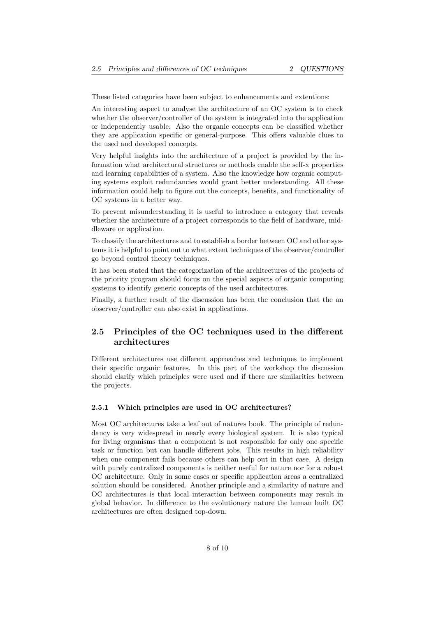These listed categories have been subject to enhancements and extentions:

An interesting aspect to analyse the architecture of an OC system is to check whether the observer/controller of the system is integrated into the application or independently usable. Also the organic concepts can be classified whether they are application specific or general-purpose. This offers valuable clues to the used and developed concepts.

Very helpful insights into the architecture of a project is provided by the information what architectural structures or methods enable the self-x properties and learning capabilities of a system. Also the knowledge how organic computing systems exploit redundancies would grant better understanding. All these information could help to figure out the concepts, benefits, and functionality of OC systems in a better way.

To prevent misunderstanding it is useful to introduce a category that reveals whether the architecture of a project corresponds to the field of hardware, middleware or application.

To classify the architectures and to establish a border between OC and other systems it is helpful to point out to what extent techniques of the observer/controller go beyond control theory techniques.

It has been stated that the categorization of the architectures of the projects of the priority program should focus on the special aspects of organic computing systems to identify generic concepts of the used architectures.

Finally, a further result of the discussion has been the conclusion that the an observer/controller can also exist in applications.

# 2.5 Principles of the OC techniques used in the different architectures

Different architectures use different approaches and techniques to implement their specific organic features. In this part of the workshop the discussion should clarify which principles were used and if there are similarities between the projects.

#### 2.5.1 Which principles are used in OC architectures?

Most OC architectures take a leaf out of natures book. The principle of redundancy is very widespread in nearly every biological system. It is also typical for living organisms that a component is not responsible for only one specific task or function but can handle different jobs. This results in high reliability when one component fails because others can help out in that case. A design with purely centralized components is neither useful for nature nor for a robust OC architecture. Only in some cases or specific application areas a centralized solution should be considered. Another principle and a similarity of nature and OC architectures is that local interaction between components may result in global behavior. In difference to the evolutionary nature the human built OC architectures are often designed top-down.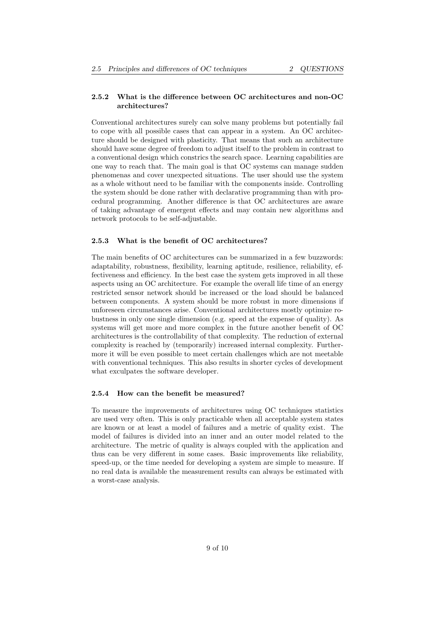#### 2.5.2 What is the difference between OC architectures and non-OC architectures?

Conventional architectures surely can solve many problems but potentially fail to cope with all possible cases that can appear in a system. An OC architecture should be designed with plasticity. That means that such an architecture should have some degree of freedom to adjust itself to the problem in contrast to a conventional design which constrics the search space. Learning capabilities are one way to reach that. The main goal is that OC systems can manage sudden phenomenas and cover unexpected situations. The user should use the system as a whole without need to be familiar with the components inside. Controlling the system should be done rather with declarative programming than with procedural programming. Another difference is that OC architectures are aware of taking advantage of emergent effects and may contain new algorithms and network protocols to be self-adjustable.

#### 2.5.3 What is the benefit of OC architectures?

The main benefits of OC architectures can be summarized in a few buzzwords: adaptability, robustness, flexibility, learning aptitude, resilience, reliability, effectiveness and efficiency. In the best case the system gets improved in all these aspects using an OC architecture. For example the overall life time of an energy restricted sensor network should be increased or the load should be balanced between components. A system should be more robust in more dimensions if unforeseen circumstances arise. Conventional architectures mostly optimize robustness in only one single dimension (e.g. speed at the expense of quality). As systems will get more and more complex in the future another benefit of OC architectures is the controllability of that complexity. The reduction of external complexity is reached by (temporarily) increased internal complexity. Furthermore it will be even possible to meet certain challenges which are not meetable with conventional techniques. This also results in shorter cycles of development what exculpates the software developer.

#### 2.5.4 How can the benefit be measured?

To measure the improvements of architectures using OC techniques statistics are used very often. This is only practicable when all acceptable system states are known or at least a model of failures and a metric of quality exist. The model of failures is divided into an inner and an outer model related to the architecture. The metric of quality is always coupled with the application and thus can be very different in some cases. Basic improvements like reliability, speed-up, or the time needed for developing a system are simple to measure. If no real data is available the measurement results can always be estimated with a worst-case analysis.